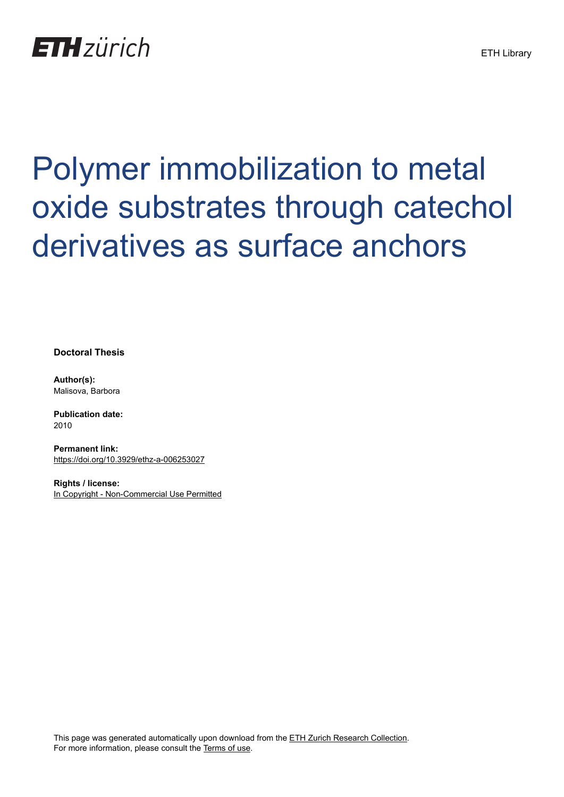# **ETH**zürich

# Polymer immobilization to metal oxide substrates through catechol derivatives as surface anchors

**Doctoral Thesis**

**Author(s):** Malisova, Barbora

**Publication date:** 2010

**Permanent link:** <https://doi.org/10.3929/ethz-a-006253027>

**Rights / license:** [In Copyright - Non-Commercial Use Permitted](http://rightsstatements.org/page/InC-NC/1.0/)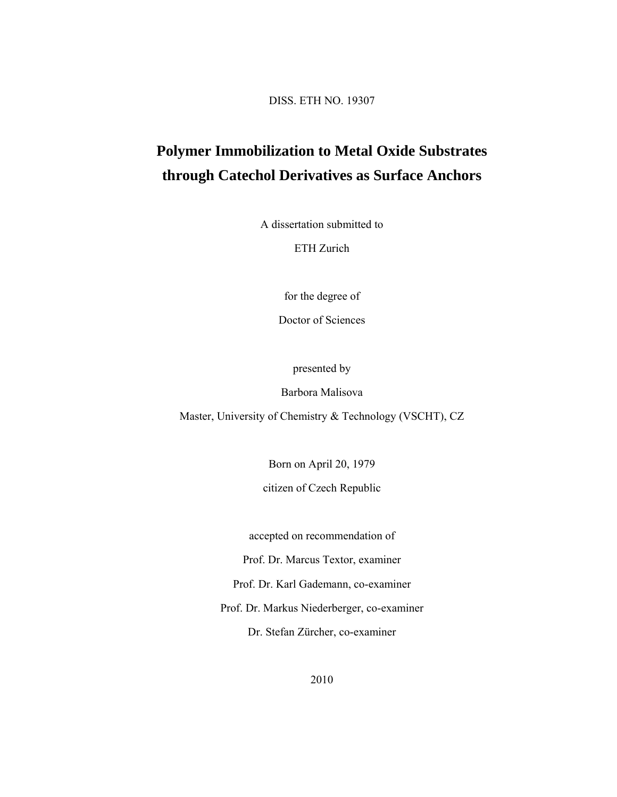DISS. ETH NO. 19307

## **Polymer Immobilization to Metal Oxide Substrates through Catechol Derivatives as Surface Anchors**

A dissertation submitted to

ETH Zurich

for the degree of

Doctor of Sciences

presented by

Barbora Malisova

Master, University of Chemistry & Technology (VSCHT), CZ

Born on April 20, 1979

citizen of Czech Republic

accepted on recommendation of

Prof. Dr. Marcus Textor, examiner

Prof. Dr. Karl Gademann, co-examiner

Prof. Dr. Markus Niederberger, co-examiner

Dr. Stefan Zürcher, co-examiner

2010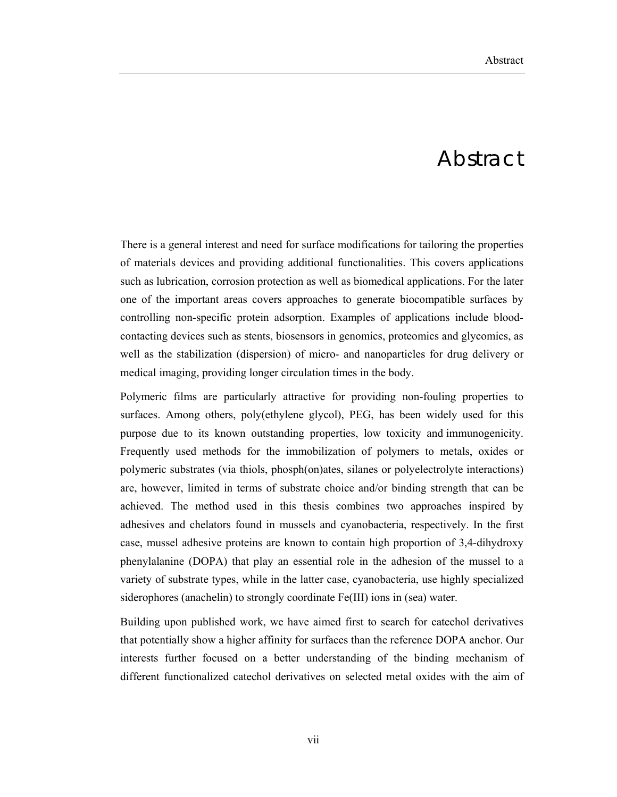### Abstract

There is a general interest and need for surface modifications for tailoring the properties of materials devices and providing additional functionalities. This covers applications such as lubrication, corrosion protection as well as biomedical applications. For the later one of the important areas covers approaches to generate biocompatible surfaces by controlling non-specific protein adsorption. Examples of applications include bloodcontacting devices such as stents, biosensors in genomics, proteomics and glycomics, as well as the stabilization (dispersion) of micro- and nanoparticles for drug delivery or medical imaging, providing longer circulation times in the body.

Polymeric films are particularly attractive for providing non-fouling properties to surfaces. Among others, poly(ethylene glycol), PEG, has been widely used for this purpose due to its known outstanding properties, low toxicity and immunogenicity. Frequently used methods for the immobilization of polymers to metals, oxides or polymeric substrates (via thiols, phosph(on)ates, silanes or polyelectrolyte interactions) are, however, limited in terms of substrate choice and/or binding strength that can be achieved. The method used in this thesis combines two approaches inspired by adhesives and chelators found in mussels and cyanobacteria, respectively. In the first case, mussel adhesive proteins are known to contain high proportion of 3,4-dihydroxy phenylalanine (DOPA) that play an essential role in the adhesion of the mussel to a variety of substrate types, while in the latter case, cyanobacteria, use highly specialized siderophores (anachelin) to strongly coordinate Fe(III) ions in (sea) water.

Building upon published work, we have aimed first to search for catechol derivatives that potentially show a higher affinity for surfaces than the reference DOPA anchor. Our interests further focused on a better understanding of the binding mechanism of different functionalized catechol derivatives on selected metal oxides with the aim of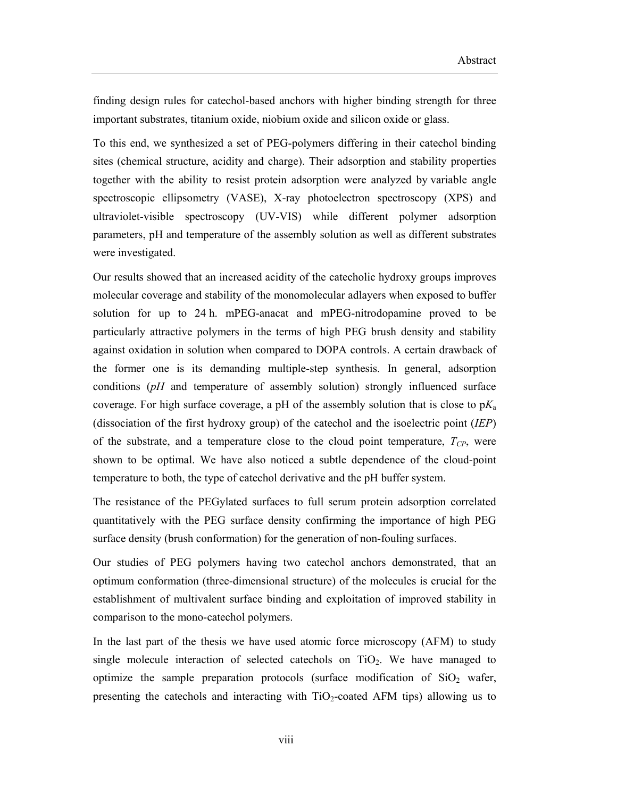finding design rules for catechol-based anchors with higher binding strength for three important substrates, titanium oxide, niobium oxide and silicon oxide or glass.

To this end, we synthesized a set of PEG-polymers differing in their catechol binding sites (chemical structure, acidity and charge). Their adsorption and stability properties together with the ability to resist protein adsorption were analyzed by variable angle spectroscopic ellipsometry (VASE), X-ray photoelectron spectroscopy (XPS) and ultraviolet-visible spectroscopy (UV-VIS) while different polymer adsorption parameters, pH and temperature of the assembly solution as well as different substrates were investigated.

Our results showed that an increased acidity of the catecholic hydroxy groups improves molecular coverage and stability of the monomolecular adlayers when exposed to buffer solution for up to 24 h. mPEG-anacat and mPEG-nitrodopamine proved to be particularly attractive polymers in the terms of high PEG brush density and stability against oxidation in solution when compared to DOPA controls. A certain drawback of the former one is its demanding multiple-step synthesis. In general, adsorption conditions (*pH* and temperature of assembly solution) strongly influenced surface coverage. For high surface coverage, a pH of the assembly solution that is close to  $pK_a$ (dissociation of the first hydroxy group) of the catechol and the isoelectric point (*IEP*) of the substrate, and a temperature close to the cloud point temperature,  $T_{CP}$ , were shown to be optimal. We have also noticed a subtle dependence of the cloud-point temperature to both, the type of catechol derivative and the pH buffer system.

The resistance of the PEGylated surfaces to full serum protein adsorption correlated quantitatively with the PEG surface density confirming the importance of high PEG surface density (brush conformation) for the generation of non-fouling surfaces.

Our studies of PEG polymers having two catechol anchors demonstrated, that an optimum conformation (three-dimensional structure) of the molecules is crucial for the establishment of multivalent surface binding and exploitation of improved stability in comparison to the mono-catechol polymers.

In the last part of the thesis we have used atomic force microscopy (AFM) to study single molecule interaction of selected cate chols on  $TiO<sub>2</sub>$ . We have managed to optimize the sample preparation protocols (surface modification of  $SiO<sub>2</sub>$  wafer, presenting the catechols and interacting with  $TiO<sub>2</sub>$ -coated AFM tips) allowing us to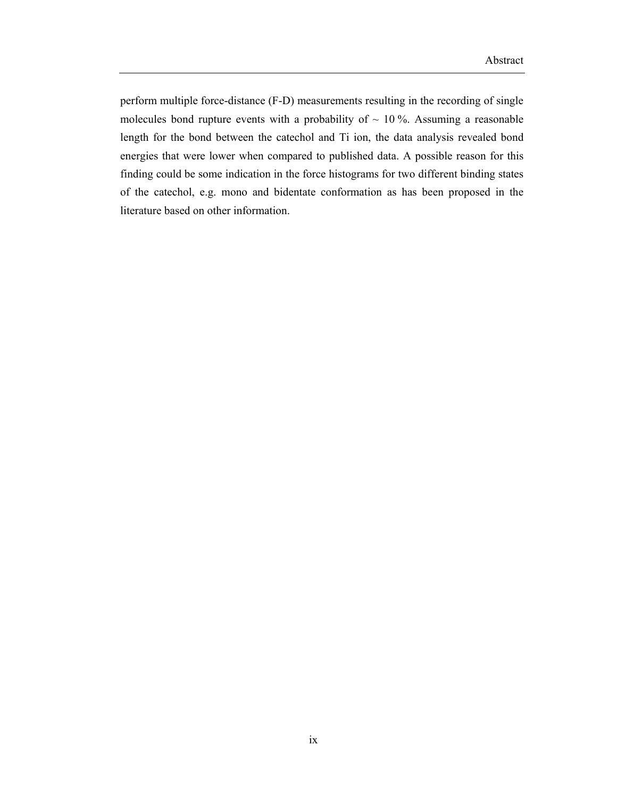perform multiple force-distance (F-D) measurements resulting in the recording of single molecules bond rupture events with a probability of  $\sim$  10 %. Assuming a reasonable length for the bond between the catechol and Ti ion, the data analysis revealed bond energies that were lower when compared to published data. A possible reason for this finding could be some indication in the force histograms for two different binding states of the catechol, e.g. mono and bidentate conformation as has been proposed in the literature based on other information.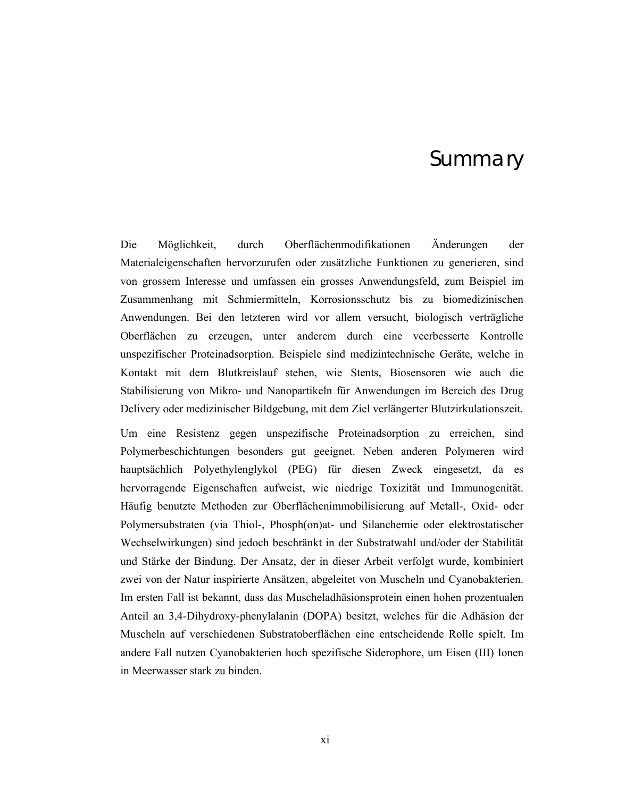#### Summary

Die Mӧglichkeit, durch Oberflächenmodifikationen Änderungen der Materialeigenschaften hervorzurufen oder zusätzliche Funktionen zu generieren, sind von grossem Interesse und umfassen ein grosses Anwendungsfeld, zum Beispiel im Zusammenhang mit Schmiermitteln, Korrosionsschutz bis zu biomedizinischen Anwendungen. Bei den letzteren wird vor allem versucht, biologisch verträgliche Oberflächen zu erzeugen, unter anderem durch eine veerbesserte Kontrolle unspezifischer Proteinadsorption. Beispiele sind medizintechnische Geräte, welche in Kontakt mit dem Blutkreislauf stehen, wie Stents, Biosensoren wie auch die Stabilisierung von Mikro- und Nanopartikeln für Anwendungen im Bereich des Drug Delivery oder medizinischer Bildgebung, mit dem Ziel verlängerter Blutzirkulationszeit.

Um eine Resistenz gegen unspezifische Proteinadsorption zu erreichen, sind Polymerbeschichtungen besonders gut geeignet. Neben anderen Polymeren wird hauptsächlich Polyethylenglykol (PEG) für diesen Zweck eingesetzt, da es hervorragende Eigenschaften aufweist, wie niedrige Toxizität und Immunogenität. Häufig benutzte Methoden zur Oberflächenimmobilisierung auf Metall-, Oxid- oder Polymersubstraten (via Thiol-, Phosph(on)at- und Silanchemie oder elektrostatischer Wechselwirkungen) sind jedoch beschränkt in der Substratwahl und/oder der Stabilität und Stärke der Bindung. Der Ansatz, der in dieser Arbeit verfolgt wurde, kombiniert zwei von der Natur inspirierte Ansätzen, abgeleitet von Muscheln und Cyanobakterien. Im ersten Fall ist bekannt, dass das Muscheladhäsionsprotein einen hohen prozentualen Anteil an 3,4-Dihydroxy-phenylalanin (DOPA) besitzt, welches für die Adhäsion der Muscheln auf verschiedenen Substratoberflächen eine entscheidende Rolle spielt. Im andere Fall nutzen Cyanobakterien hoch spezifische Siderophore, um Eisen (III) Ionen in Meerwasser stark zu binden.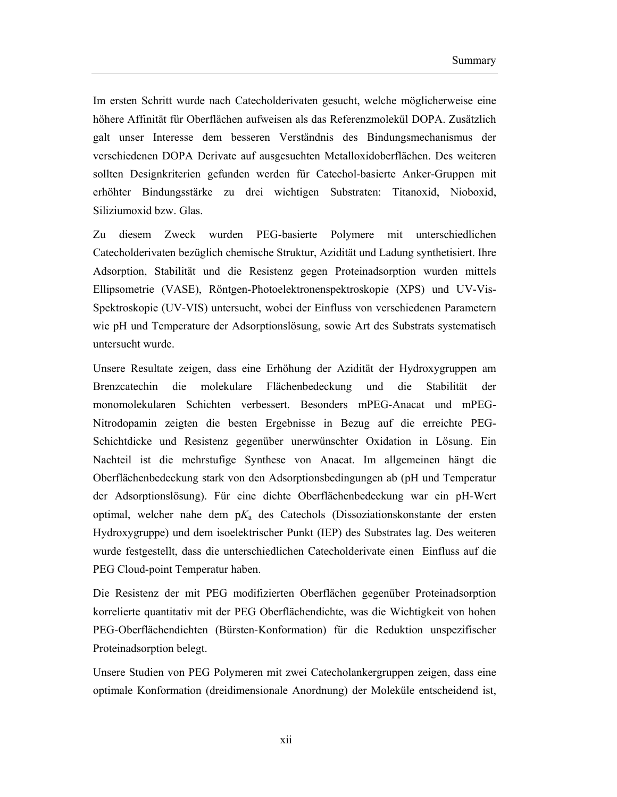Im ersten Schritt wurde nach Catecholderivaten gesucht, welche möglicherweise eine höhere Affinität für Oberflächen aufweisen als das Referenzmolekül DOPA. Zusätzlich galt unser Interesse dem besseren Verständnis des Bindungsmechanismus der verschiedenen DOPA Derivate auf ausgesuchten Metalloxidoberflächen. Des weiteren sollten Designkriterien gefunden werden für Catechol-basierte Anker-Gruppen mit erhöhter Bindungsstärke zu drei wichtigen Substraten: Titanoxid, Nioboxid, Siliziumoxid bzw. Glas.

Zu diesem Zweck wurden PEG-basierte Polymere mit unterschiedlichen Catecholderivaten bezüglich chemische Struktur, Azidität und Ladung synthetisiert. Ihre Adsorption, Stabilität und die Resistenz gegen Proteinadsorption wurden mittels Ellipsometrie (VASE), Röntgen-Photoelektronenspektroskopie (XPS) und UV-Vis-Spektroskopie (UV-VIS) untersucht, wobei der Einfluss von verschiedenen Parametern wie pH und Temperature der Adsorptionslösung, sowie Art des Substrats systematisch untersucht wurde.

Unsere Resultate zeigen, dass eine Erhöhung der Azidität der Hydroxygruppen am Brenzcatechin die molekulare Flächenbedeckung und die Stabilität der monomolekularen Schichten verbessert. Besonders mPEG-Anacat und mPEG-Nitrodopamin zeigten die besten Ergebnisse in Bezug auf die erreichte PEG-Schichtdicke und Resistenz gegenüber unerwünschter Oxidation in Lösung. Ein Nachteil ist die mehrstufige Synthese von Anacat. Im allgemeinen hängt die Oberflächenbedeckung stark von den Adsorptionsbedingungen ab (pH und Temperatur der Adsorptionslösung). Für eine dichte Oberflächenbedeckung war ein pH-Wert optimal, welcher nahe dem p*K*a des Catechols (Dissoziationskonstante der ersten Hydroxygruppe) und dem isoelektrischer Punkt (IEP) des Substrates lag. Des weiteren wurde festgestellt, dass die unterschiedlichen Catecholderivate einen Einfluss auf die PEG Cloud-point Temperatur haben.

Die Resistenz der mit PEG modifizierten Oberflächen gegenüber Proteinadsorption korrelierte quantitativ mit der PEG Oberflächendichte, was die Wichtigkeit von hohen PEG-Oberflächendichten (Bürsten-Konformation) für die Reduktion unspezifischer Proteinadsorption belegt.

Unsere Studien von PEG Polymeren mit zwei Catecholankergruppen zeigen, dass eine optimale Konformation (dreidimensionale Anordnung) der Moleküle entscheidend ist,